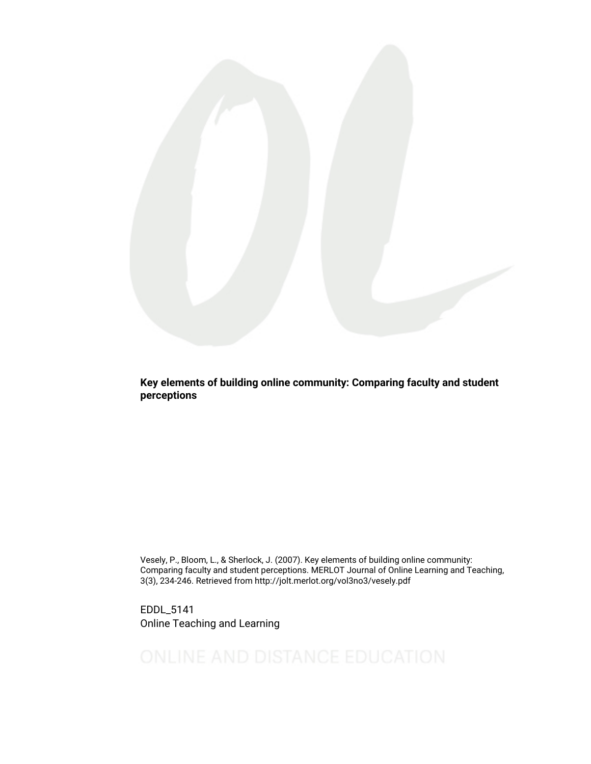

Key elements of building online community: Comparing faculty and student perceptions

Vesely, P., Bloom, L., & Sherlock, J. (2007). Key elements of building online community: Comparing faculty and student perceptions. MERLOT Journal of Online Learning and Teaching, 3(3), 234-246. Retrieved from http://jolt.merlot.org/vol3no3/vesely.pdf

EDDL\_5141 Online Teaching and Learning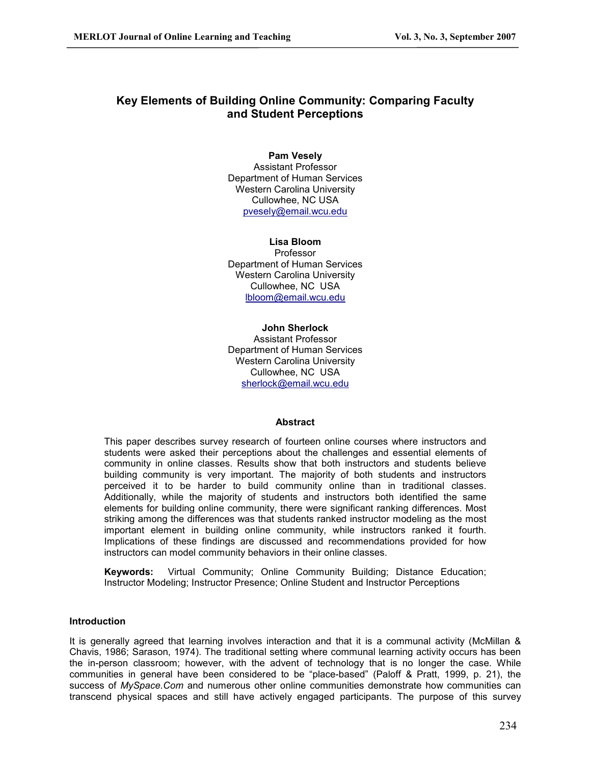#### MERLOT Journal of Online Learning and Teaching Vol. 3, No. 3, September 2007

## Key Elements of Building Online Community: Comparing Faculty and Student Perceptions

## Pam Vesely

Assistant Professor Department of Human Services Western Carolina University Cullowhee, NC USA pvesely@email.wcu.edu

## Lisa Bloom

Professor Department of Human Services Western Carolina University Cullowhee, NC USA lbloom@email.wcu.edu

# John Sherlock

Assistant Professor Department of Human Services Western Carolina University Cullowhee, NC USA sherlock@email.wcu.edu

## **Abstract**

This paper describes survey research of fourteen online courses where instructors and students were asked their perceptions about the challenges and essential elements of community in online classes. Results show that both instructors and students believe building community is very important. The majority of both students and instructors perceived it to be harder to build community online than in traditional classes. Additionally, while the majority of students and instructors both identified the same elements for building online community, there were significant ranking differences. Most striking among the differences was that students ranked instructor modeling as the most important element in building online community, while instructors ranked it fourth. Implications of these findings are discussed and recommendations provided for how instructors can model community behaviors in their online classes.

Keywords: Virtual Community; Online Community Building; Distance Education; Instructor Modeling; Instructor Presence; Online Student and Instructor Perceptions

## Introduction

It is generally agreed that learning involves interaction and that it is a communal activity (McMillan & Chavis, 1986; Sarason, 1974). The traditional setting where communal learning activity occurs has been the in-person classroom; however, with the advent of technology that is no longer the case. While communities in general have been considered to be "place-based" (Paloff & Pratt, 1999, p. 21), the success of MySpace.Com and numerous other online communities demonstrate how communities can transcend physical spaces and still have actively engaged participants. The purpose of this survey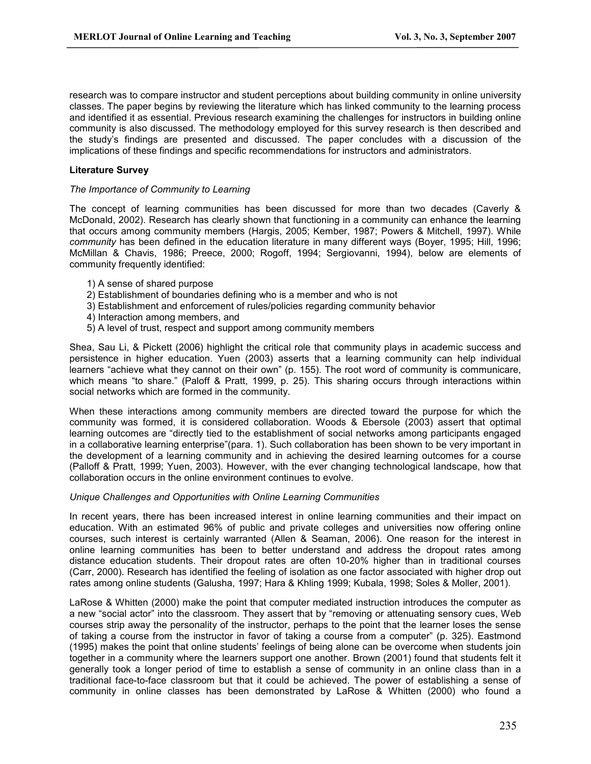research was to compare instructor and student perceptions about building community in online university classes. The paper begins by reviewing the literature which has linked community to the learning process and identified it as essential. Previous research examining the challenges for instructors in building online community is also discussed. The methodology employed for this survey research is then described and the study's findings are presented and discussed. The paper concludes with a discussion of the implications of these findings and specific recommendations for instructors and administrators.

## Literature Survey

## The Importance of Community to Learning

The concept of learning communities has been discussed for more than two decades (Caverly & McDonald, 2002). Research has clearly shown that functioning in a community can enhance the learning that occurs among community members (Hargis, 2005; Kember, 1987; Powers & Mitchell, 1997). While community has been defined in the education literature in many different ways (Boyer, 1995; Hill, 1996; McMillan & Chavis, 1986; Preece, 2000; Rogoff, 1994; Sergiovanni, 1994), below are elements of community frequently identified:

- 1) A sense of shared purpose
- 2) Establishment of boundaries defining who is a member and who is not
- 3) Establishment and enforcement of rules/policies regarding community behavior
- 4) Interaction among members, and
- 5) A level of trust, respect and support among community members

Shea, Sau Li, & Pickett (2006) highlight the critical role that community plays in academic success and persistence in higher education. Yuen (2003) asserts that a learning community can help individual learners "achieve what they cannot on their own" (p. 155). The root word of community is communicare, which means "to share." (Paloff & Pratt, 1999, p. 25). This sharing occurs through interactions within social networks which are formed in the community.

When these interactions among community members are directed toward the purpose for which the community was formed, it is considered collaboration. Woods & Ebersole (2003) assert that optimal learning outcomes are "directly tied to the establishment of social networks among participants engaged in a collaborative learning enterprise"(para. 1). Such collaboration has been shown to be very important in the development of a learning community and in achieving the desired learning outcomes for a course (Palloff & Pratt, 1999; Yuen, 2003). However, with the ever changing technological landscape, how that collaboration occurs in the online environment continues to evolve.

## Unique Challenges and Opportunities with Online Learning Communities

In recent years, there has been increased interest in online learning communities and their impact on education. With an estimated 96% of public and private colleges and universities now offering online courses, such interest is certainly warranted (Allen & Seaman, 2006). One reason for the interest in online learning communities has been to better understand and address the dropout rates among distance education students. Their dropout rates are often 10-20% higher than in traditional courses (Carr, 2000). Research has identified the feeling of isolation as one factor associated with higher drop out rates among online students (Galusha, 1997; Hara & Khling 1999; Kubala, 1998; Soles & Moller, 2001).

LaRose & Whitten (2000) make the point that computer mediated instruction introduces the computer as a new "social actor" into the classroom. They assert that by "removing or attenuating sensory cues, Web courses strip away the personality of the instructor, perhaps to the point that the learner loses the sense of taking a course from the instructor in favor of taking a course from a computer" (p. 325). Eastmond (1995) makes the point that online students' feelings of being alone can be overcome when students join together in a community where the learners support one another. Brown (2001) found that students felt it generally took a longer period of time to establish a sense of community in an online class than in a traditional face-to-face classroom but that it could be achieved. The power of establishing a sense of community in online classes has been demonstrated by LaRose & Whitten (2000) who found a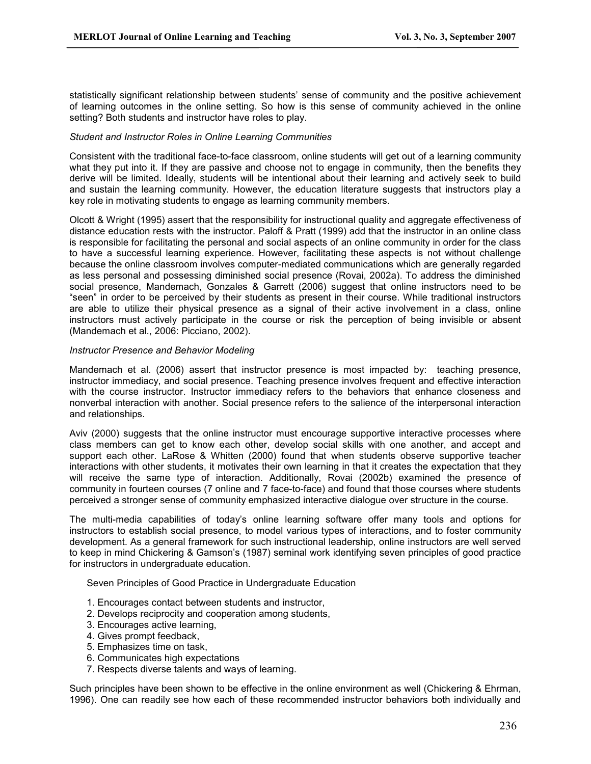statistically significant relationship between students' sense of community and the positive achievement of learning outcomes in the online setting. So how is this sense of community achieved in the online setting? Both students and instructor have roles to play.

## Student and Instructor Roles in Online Learning Communities

Consistent with the traditional face-to-face classroom, online students will get out of a learning community what they put into it. If they are passive and choose not to engage in community, then the benefits they derive will be limited. Ideally, students will be intentional about their learning and actively seek to build and sustain the learning community. However, the education literature suggests that instructors play a key role in motivating students to engage as learning community members.

Olcott & Wright (1995) assert that the responsibility for instructional quality and aggregate effectiveness of distance education rests with the instructor. Paloff & Pratt (1999) add that the instructor in an online class is responsible for facilitating the personal and social aspects of an online community in order for the class to have a successful learning experience. However, facilitating these aspects is not without challenge because the online classroom involves computer-mediated communications which are generally regarded as less personal and possessing diminished social presence (Rovai, 2002a). To address the diminished social presence, Mandemach, Gonzales & Garrett (2006) suggest that online instructors need to be "seen" in order to be perceived by their students as present in their course. While traditional instructors are able to utilize their physical presence as a signal of their active involvement in a class, online instructors must actively participate in the course or risk the perception of being invisible or absent (Mandemach et al., 2006: Picciano, 2002).

#### Instructor Presence and Behavior Modeling

Mandemach et al. (2006) assert that instructor presence is most impacted by: teaching presence, instructor immediacy, and social presence. Teaching presence involves frequent and effective interaction with the course instructor. Instructor immediacy refers to the behaviors that enhance closeness and nonverbal interaction with another. Social presence refers to the salience of the interpersonal interaction and relationships.

Aviv (2000) suggests that the online instructor must encourage supportive interactive processes where class members can get to know each other, develop social skills with one another, and accept and support each other. LaRose & Whitten (2000) found that when students observe supportive teacher interactions with other students, it motivates their own learning in that it creates the expectation that they will receive the same type of interaction. Additionally, Rovai (2002b) examined the presence of community in fourteen courses (7 online and 7 face-to-face) and found that those courses where students perceived a stronger sense of community emphasized interactive dialogue over structure in the course.

The multi-media capabilities of today's online learning software offer many tools and options for instructors to establish social presence, to model various types of interactions, and to foster community development. As a general framework for such instructional leadership, online instructors are well served to keep in mind Chickering & Gamson's (1987) seminal work identifying seven principles of good practice for instructors in undergraduate education.

Seven Principles of Good Practice in Undergraduate Education

- 1. Encourages contact between students and instructor,
- 2. Develops reciprocity and cooperation among students,
- 3. Encourages active learning,
- 4. Gives prompt feedback,
- 5. Emphasizes time on task,
- 6. Communicates high expectations
- 7. Respects diverse talents and ways of learning.

Such principles have been shown to be effective in the online environment as well (Chickering & Ehrman, 1996). One can readily see how each of these recommended instructor behaviors both individually and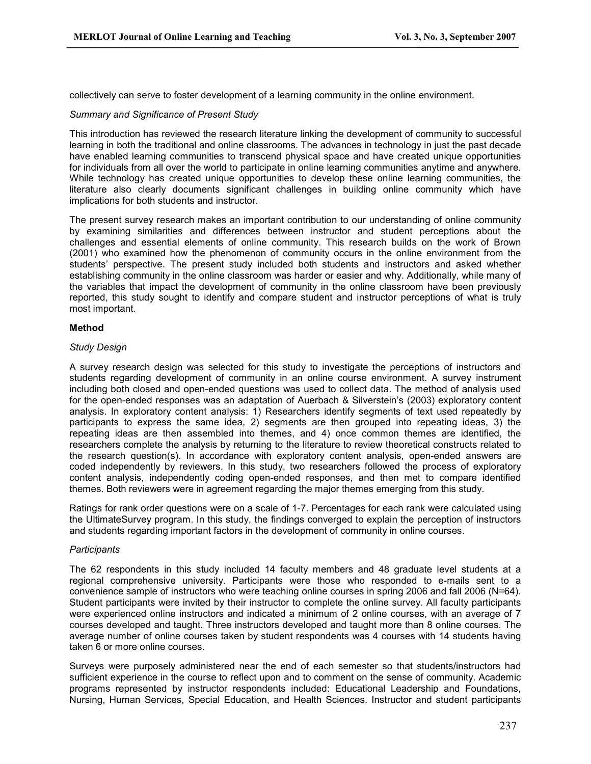collectively can serve to foster development of a learning community in the online environment.

## Summary and Significance of Present Study

This introduction has reviewed the research literature linking the development of community to successful learning in both the traditional and online classrooms. The advances in technology in just the past decade have enabled learning communities to transcend physical space and have created unique opportunities for individuals from all over the world to participate in online learning communities anytime and anywhere. While technology has created unique opportunities to develop these online learning communities, the literature also clearly documents significant challenges in building online community which have implications for both students and instructor.

The present survey research makes an important contribution to our understanding of online community by examining similarities and differences between instructor and student perceptions about the challenges and essential elements of online community. This research builds on the work of Brown (2001) who examined how the phenomenon of community occurs in the online environment from the students' perspective. The present study included both students and instructors and asked whether establishing community in the online classroom was harder or easier and why. Additionally, while many of the variables that impact the development of community in the online classroom have been previously reported, this study sought to identify and compare student and instructor perceptions of what is truly most important.

## Method

## Study Design

A survey research design was selected for this study to investigate the perceptions of instructors and students regarding development of community in an online course environment. A survey instrument including both closed and open-ended questions was used to collect data. The method of analysis used for the open-ended responses was an adaptation of Auerbach & Silverstein's (2003) exploratory content analysis. In exploratory content analysis: 1) Researchers identify segments of text used repeatedly by participants to express the same idea, 2) segments are then grouped into repeating ideas, 3) the repeating ideas are then assembled into themes, and 4) once common themes are identified, the researchers complete the analysis by returning to the literature to review theoretical constructs related to the research question(s). In accordance with exploratory content analysis, open-ended answers are coded independently by reviewers. In this study, two researchers followed the process of exploratory content analysis, independently coding open-ended responses, and then met to compare identified themes. Both reviewers were in agreement regarding the major themes emerging from this study.

Ratings for rank order questions were on a scale of 1-7. Percentages for each rank were calculated using the UltimateSurvey program. In this study, the findings converged to explain the perception of instructors and students regarding important factors in the development of community in online courses.

## **Participants**

The 62 respondents in this study included 14 faculty members and 48 graduate level students at a regional comprehensive university. Participants were those who responded to e-mails sent to a convenience sample of instructors who were teaching online courses in spring 2006 and fall 2006 (N=64). Student participants were invited by their instructor to complete the online survey. All faculty participants were experienced online instructors and indicated a minimum of 2 online courses, with an average of 7 courses developed and taught. Three instructors developed and taught more than 8 online courses. The average number of online courses taken by student respondents was 4 courses with 14 students having taken 6 or more online courses.

Surveys were purposely administered near the end of each semester so that students/instructors had sufficient experience in the course to reflect upon and to comment on the sense of community. Academic programs represented by instructor respondents included: Educational Leadership and Foundations, Nursing, Human Services, Special Education, and Health Sciences. Instructor and student participants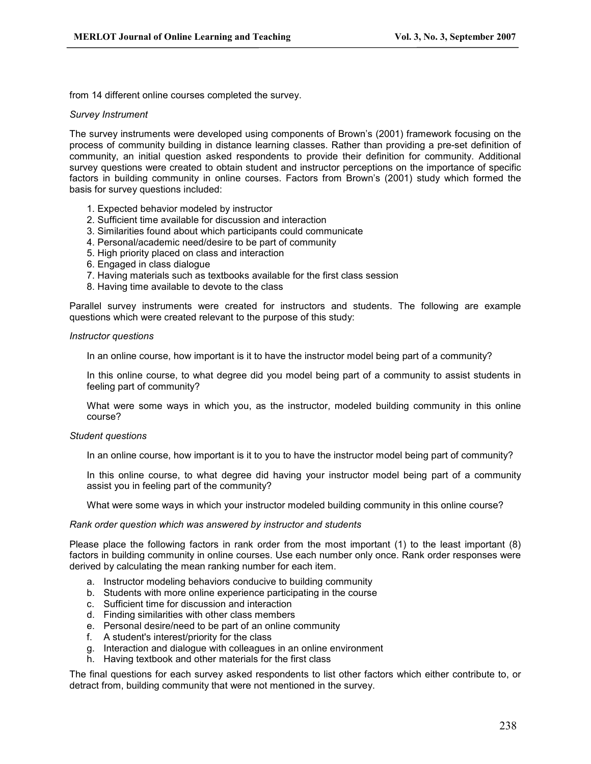from 14 different online courses completed the survey.

#### Survey Instrument

The survey instruments were developed using components of Brown's (2001) framework focusing on the process of community building in distance learning classes. Rather than providing a pre-set definition of community, an initial question asked respondents to provide their definition for community. Additional survey questions were created to obtain student and instructor perceptions on the importance of specific factors in building community in online courses. Factors from Brown's (2001) study which formed the basis for survey questions included:

- 1. Expected behavior modeled by instructor
- 2. Sufficient time available for discussion and interaction
- 3. Similarities found about which participants could communicate
- 4. Personal/academic need/desire to be part of community
- 5. High priority placed on class and interaction
- 6. Engaged in class dialogue
- 7. Having materials such as textbooks available for the first class session
- 8. Having time available to devote to the class

Parallel survey instruments were created for instructors and students. The following are example questions which were created relevant to the purpose of this study:

#### Instructor questions

In an online course, how important is it to have the instructor model being part of a community?

In this online course, to what degree did you model being part of a community to assist students in feeling part of community?

What were some ways in which you, as the instructor, modeled building community in this online course?

#### Student questions

In an online course, how important is it to you to have the instructor model being part of community?

In this online course, to what degree did having your instructor model being part of a community assist you in feeling part of the community?

What were some ways in which your instructor modeled building community in this online course?

#### Rank order question which was answered by instructor and students

Please place the following factors in rank order from the most important (1) to the least important (8) factors in building community in online courses. Use each number only once. Rank order responses were derived by calculating the mean ranking number for each item.

- a. Instructor modeling behaviors conducive to building community
- b. Students with more online experience participating in the course
- c. Sufficient time for discussion and interaction
- d. Finding similarities with other class members
- e. Personal desire/need to be part of an online community
- f. A student's interest/priority for the class
- g. Interaction and dialogue with colleagues in an online environment
- h. Having textbook and other materials for the first class

The final questions for each survey asked respondents to list other factors which either contribute to, or detract from, building community that were not mentioned in the survey.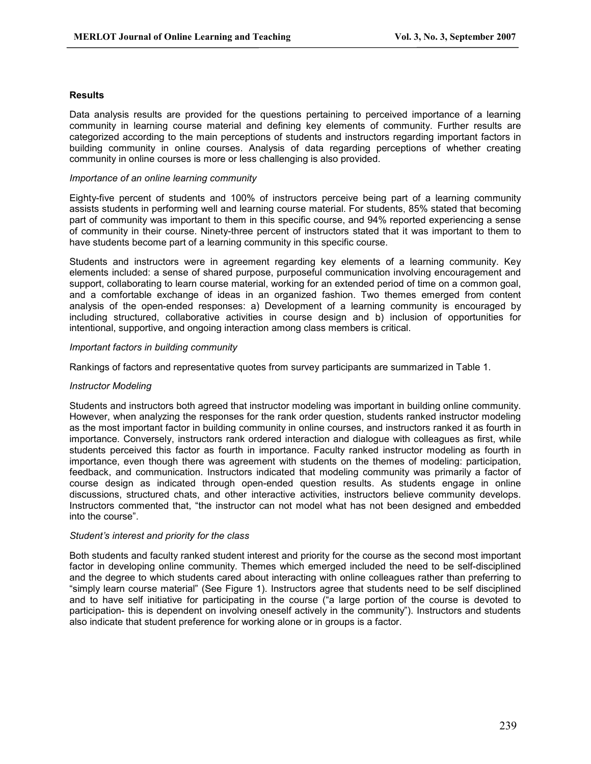## **Results**

Data analysis results are provided for the questions pertaining to perceived importance of a learning community in learning course material and defining key elements of community. Further results are categorized according to the main perceptions of students and instructors regarding important factors in building community in online courses. Analysis of data regarding perceptions of whether creating community in online courses is more or less challenging is also provided.

## Importance of an online learning community

Eighty-five percent of students and 100% of instructors perceive being part of a learning community assists students in performing well and learning course material. For students, 85% stated that becoming part of community was important to them in this specific course, and 94% reported experiencing a sense of community in their course. Ninety-three percent of instructors stated that it was important to them to have students become part of a learning community in this specific course.

Students and instructors were in agreement regarding key elements of a learning community. Key elements included: a sense of shared purpose, purposeful communication involving encouragement and support, collaborating to learn course material, working for an extended period of time on a common goal, and a comfortable exchange of ideas in an organized fashion. Two themes emerged from content analysis of the open-ended responses: a) Development of a learning community is encouraged by including structured, collaborative activities in course design and b) inclusion of opportunities for intentional, supportive, and ongoing interaction among class members is critical.

#### Important factors in building community

Rankings of factors and representative quotes from survey participants are summarized in Table 1.

## Instructor Modeling

Students and instructors both agreed that instructor modeling was important in building online community. However, when analyzing the responses for the rank order question, students ranked instructor modeling as the most important factor in building community in online courses, and instructors ranked it as fourth in importance. Conversely, instructors rank ordered interaction and dialogue with colleagues as first, while students perceived this factor as fourth in importance. Faculty ranked instructor modeling as fourth in importance, even though there was agreement with students on the themes of modeling: participation, feedback, and communication. Instructors indicated that modeling community was primarily a factor of course design as indicated through open-ended question results. As students engage in online discussions, structured chats, and other interactive activities, instructors believe community develops. Instructors commented that, "the instructor can not model what has not been designed and embedded into the course".

## Student's interest and priority for the class

Both students and faculty ranked student interest and priority for the course as the second most important factor in developing online community. Themes which emerged included the need to be self-disciplined and the degree to which students cared about interacting with online colleagues rather than preferring to "simply learn course material" (See Figure 1). Instructors agree that students need to be self disciplined and to have self initiative for participating in the course ("a large portion of the course is devoted to participation- this is dependent on involving oneself actively in the community"). Instructors and students also indicate that student preference for working alone or in groups is a factor.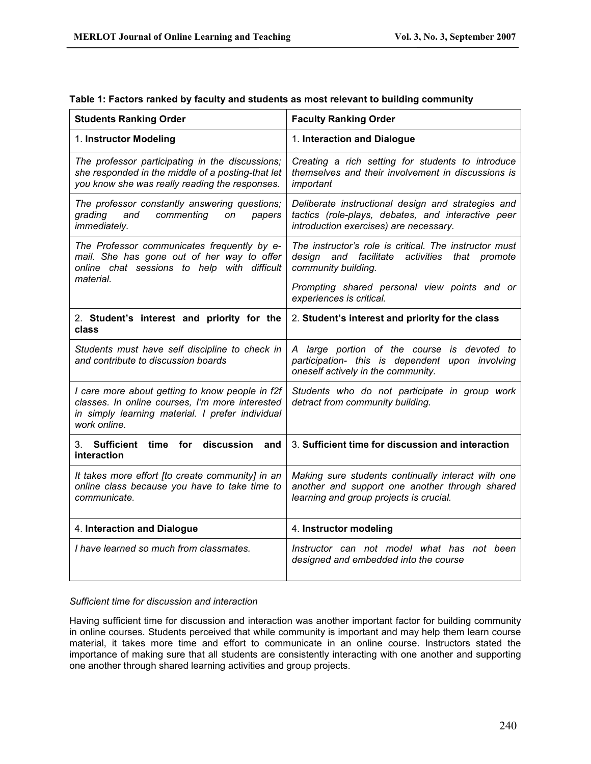| <b>Students Ranking Order</b>                                                                                                                                          | <b>Faculty Ranking Order</b>                                                                                                                       |
|------------------------------------------------------------------------------------------------------------------------------------------------------------------------|----------------------------------------------------------------------------------------------------------------------------------------------------|
| 1. Instructor Modeling                                                                                                                                                 | 1. Interaction and Dialogue                                                                                                                        |
| The professor participating in the discussions;<br>she responded in the middle of a posting-that let<br>you know she was really reading the responses.                 | Creating a rich setting for students to introduce<br>themselves and their involvement in discussions is<br>important                               |
| The professor constantly answering questions;<br>grading<br>commenting<br>and<br>on<br>papers<br>immediately.                                                          | Deliberate instructional design and strategies and<br>tactics (role-plays, debates, and interactive peer<br>introduction exercises) are necessary. |
| The Professor communicates frequently by e-<br>mail. She has gone out of her way to offer<br>online chat sessions to help with difficult<br>material.                  | The instructor's role is critical. The instructor must<br>design and facilitate activities that promote<br>community building.                     |
|                                                                                                                                                                        | Prompting shared personal view points and or<br>experiences is critical.                                                                           |
| 2. Student's interest and priority for the<br>class                                                                                                                    | 2. Student's interest and priority for the class                                                                                                   |
| Students must have self discipline to check in<br>and contribute to discussion boards                                                                                  | A large portion of the course is devoted to<br>participation- this is dependent upon involving<br>oneself actively in the community.               |
| I care more about getting to know people in f2f<br>classes. In online courses, I'm more interested<br>in simply learning material. I prefer individual<br>work online. | Students who do not participate in group work<br>detract from community building.                                                                  |
| 3. Sufficient time for<br>discussion<br>and<br>interaction                                                                                                             | 3. Sufficient time for discussion and interaction                                                                                                  |
| It takes more effort [to create community] in an<br>online class because you have to take time to<br>communicate.                                                      | Making sure students continually interact with one<br>another and support one another through shared<br>learning and group projects is crucial.    |
| 4. Interaction and Dialogue                                                                                                                                            | 4. Instructor modeling                                                                                                                             |
| I have learned so much from classmates.                                                                                                                                | Instructor can not model what has not been<br>designed and embedded into the course                                                                |

|  |  | Table 1: Factors ranked by faculty and students as most relevant to building community |
|--|--|----------------------------------------------------------------------------------------|
|--|--|----------------------------------------------------------------------------------------|

## Sufficient time for discussion and interaction

Having sufficient time for discussion and interaction was another important factor for building community in online courses. Students perceived that while community is important and may help them learn course material, it takes more time and effort to communicate in an online course. Instructors stated the importance of making sure that all students are consistently interacting with one another and supporting one another through shared learning activities and group projects.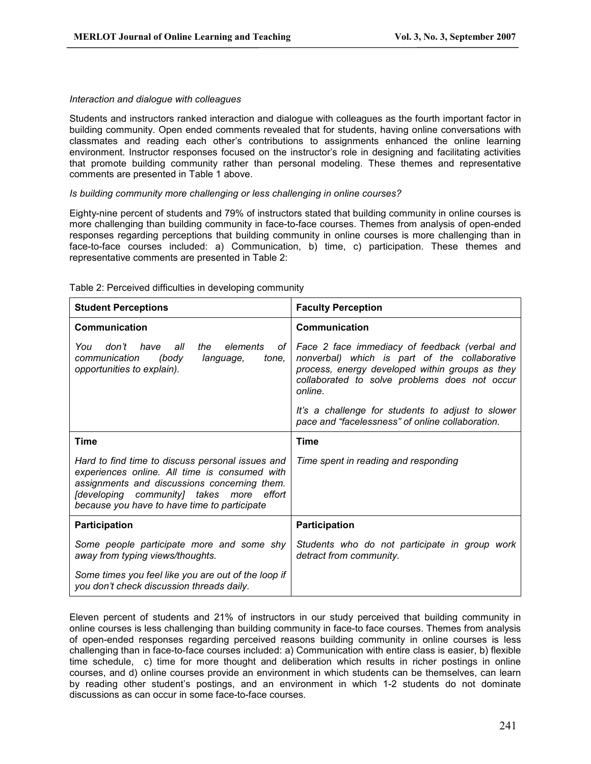## Interaction and dialogue with colleagues

Students and instructors ranked interaction and dialogue with colleagues as the fourth important factor in building community. Open ended comments revealed that for students, having online conversations with classmates and reading each other's contributions to assignments enhanced the online learning environment. Instructor responses focused on the instructor's role in designing and facilitating activities that promote building community rather than personal modeling. These themes and representative comments are presented in Table 1 above.

## Is building community more challenging or less challenging in online courses?

Eighty-nine percent of students and 79% of instructors stated that building community in online courses is more challenging than building community in face-to-face courses. Themes from analysis of open-ended responses regarding perceptions that building community in online courses is more challenging than in face-to-face courses included: a) Communication, b) time, c) participation. These themes and representative comments are presented in Table 2:

| <b>Student Perceptions</b>                                                                                                                                                                                                                    | <b>Faculty Perception</b>                                                                                                                                                                                     |
|-----------------------------------------------------------------------------------------------------------------------------------------------------------------------------------------------------------------------------------------------|---------------------------------------------------------------------------------------------------------------------------------------------------------------------------------------------------------------|
| Communication                                                                                                                                                                                                                                 | Communication                                                                                                                                                                                                 |
| elements<br>You<br>don't<br>have<br>all<br>the<br>of I<br>communication<br>(body<br>language,<br>tone.<br>opportunities to explain).                                                                                                          | Face 2 face immediacy of feedback (verbal and<br>nonverbal) which is part of the collaborative<br>process, energy developed within groups as they<br>collaborated to solve problems does not occur<br>online. |
|                                                                                                                                                                                                                                               | It's a challenge for students to adjust to slower<br>pace and "facelessness" of online collaboration.                                                                                                         |
| <b>Time</b>                                                                                                                                                                                                                                   | Time                                                                                                                                                                                                          |
| Hard to find time to discuss personal issues and<br>experiences online. All time is consumed with<br>assignments and discussions concerning them.<br>[developing community] takes more effort<br>because you have to have time to participate | Time spent in reading and responding                                                                                                                                                                          |
| Participation                                                                                                                                                                                                                                 | Participation                                                                                                                                                                                                 |
| Some people participate more and some shy<br>away from typing views/thoughts.                                                                                                                                                                 | Students who do not participate in group work<br>detract from community.                                                                                                                                      |
| Some times you feel like you are out of the loop if<br>you don't check discussion threads daily.                                                                                                                                              |                                                                                                                                                                                                               |

Table 2: Perceived difficulties in developing community

Eleven percent of students and 21% of instructors in our study perceived that building community in online courses is less challenging than building community in face-to face courses. Themes from analysis of open-ended responses regarding perceived reasons building community in online courses is less challenging than in face-to-face courses included: a) Communication with entire class is easier, b) flexible time schedule, c) time for more thought and deliberation which results in richer postings in online courses, and d) online courses provide an environment in which students can be themselves, can learn by reading other student's postings, and an environment in which 1-2 students do not dominate discussions as can occur in some face-to-face courses.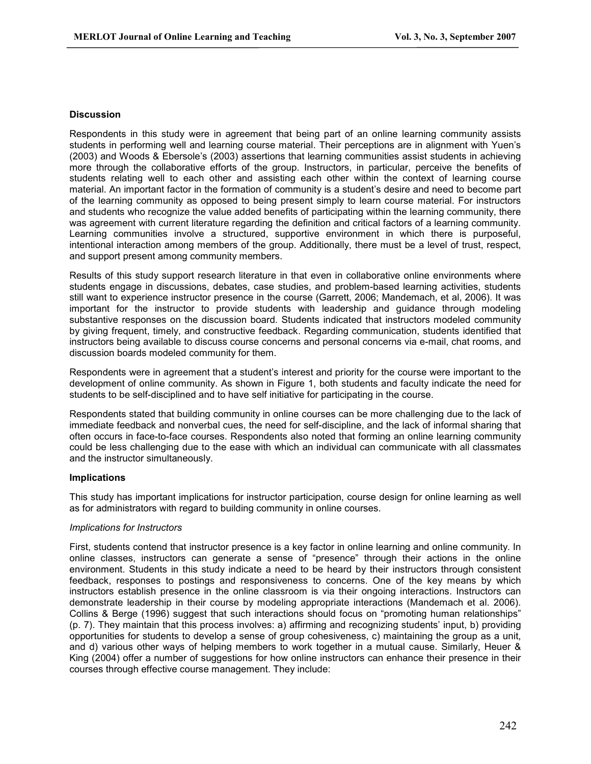## **Discussion**

Respondents in this study were in agreement that being part of an online learning community assists students in performing well and learning course material. Their perceptions are in alignment with Yuen's (2003) and Woods & Ebersole's (2003) assertions that learning communities assist students in achieving more through the collaborative efforts of the group. Instructors, in particular, perceive the benefits of students relating well to each other and assisting each other within the context of learning course material. An important factor in the formation of community is a student's desire and need to become part of the learning community as opposed to being present simply to learn course material. For instructors and students who recognize the value added benefits of participating within the learning community, there was agreement with current literature regarding the definition and critical factors of a learning community. Learning communities involve a structured, supportive environment in which there is purposeful, intentional interaction among members of the group. Additionally, there must be a level of trust, respect, and support present among community members.

Results of this study support research literature in that even in collaborative online environments where students engage in discussions, debates, case studies, and problem-based learning activities, students still want to experience instructor presence in the course (Garrett, 2006; Mandemach, et al, 2006). It was important for the instructor to provide students with leadership and guidance through modeling substantive responses on the discussion board. Students indicated that instructors modeled community by giving frequent, timely, and constructive feedback. Regarding communication, students identified that instructors being available to discuss course concerns and personal concerns via e-mail, chat rooms, and discussion boards modeled community for them.

Respondents were in agreement that a student's interest and priority for the course were important to the development of online community. As shown in Figure 1, both students and faculty indicate the need for students to be self-disciplined and to have self initiative for participating in the course.

Respondents stated that building community in online courses can be more challenging due to the lack of immediate feedback and nonverbal cues, the need for self-discipline, and the lack of informal sharing that often occurs in face-to-face courses. Respondents also noted that forming an online learning community could be less challenging due to the ease with which an individual can communicate with all classmates and the instructor simultaneously.

## Implications

This study has important implications for instructor participation, course design for online learning as well as for administrators with regard to building community in online courses.

## Implications for Instructors

First, students contend that instructor presence is a key factor in online learning and online community. In online classes, instructors can generate a sense of "presence" through their actions in the online environment. Students in this study indicate a need to be heard by their instructors through consistent feedback, responses to postings and responsiveness to concerns. One of the key means by which instructors establish presence in the online classroom is via their ongoing interactions. Instructors can demonstrate leadership in their course by modeling appropriate interactions (Mandemach et al. 2006). Collins & Berge (1996) suggest that such interactions should focus on "promoting human relationships" (p. 7). They maintain that this process involves: a) affirming and recognizing students' input, b) providing opportunities for students to develop a sense of group cohesiveness, c) maintaining the group as a unit, and d) various other ways of helping members to work together in a mutual cause. Similarly, Heuer & King (2004) offer a number of suggestions for how online instructors can enhance their presence in their courses through effective course management. They include: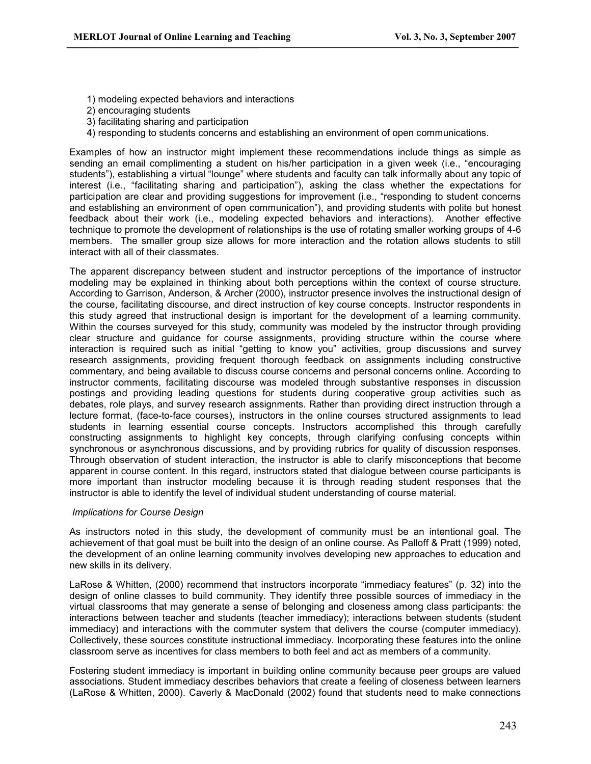- 1) modeling expected behaviors and interactions
- 2) encouraging students
- 3) facilitating sharing and participation
- 4) responding to students concerns and establishing an environment of open communications.

Examples of how an instructor might implement these recommendations include things as simple as sending an email complimenting a student on his/her participation in a given week (i.e., "encouraging students"), establishing a virtual "lounge" where students and faculty can talk informally about any topic of interest (i.e., "facilitating sharing and participation"), asking the class whether the expectations for participation are clear and providing suggestions for improvement (i.e., "responding to student concerns and establishing an environment of open communication"), and providing students with polite but honest feedback about their work (i.e., modeling expected behaviors and interactions). Another effective technique to promote the development of relationships is the use of rotating smaller working groups of 4-6 members. The smaller group size allows for more interaction and the rotation allows students to still interact with all of their classmates.

The apparent discrepancy between student and instructor perceptions of the importance of instructor modeling may be explained in thinking about both perceptions within the context of course structure. According to Garrison, Anderson, & Archer (2000), instructor presence involves the instructional design of the course, facilitating discourse, and direct instruction of key course concepts. Instructor respondents in this study agreed that instructional design is important for the development of a learning community. Within the courses surveyed for this study, community was modeled by the instructor through providing clear structure and guidance for course assignments, providing structure within the course where interaction is required such as initial "getting to know you" activities, group discussions and survey research assignments, providing frequent thorough feedback on assignments including constructive commentary, and being available to discuss course concerns and personal concerns online. According to instructor comments, facilitating discourse was modeled through substantive responses in discussion postings and providing leading questions for students during cooperative group activities such as debates, role plays, and survey research assignments. Rather than providing direct instruction through a lecture format, (face-to-face courses), instructors in the online courses structured assignments to lead students in learning essential course concepts. Instructors accomplished this through carefully constructing assignments to highlight key concepts, through clarifying confusing concepts within synchronous or asynchronous discussions, and by providing rubrics for quality of discussion responses. Through observation of student interaction, the instructor is able to clarify misconceptions that become apparent in course content. In this regard, instructors stated that dialogue between course participants is more important than instructor modeling because it is through reading student responses that the instructor is able to identify the level of individual student understanding of course material.

## Implications for Course Design

As instructors noted in this study, the development of community must be an intentional goal. The achievement of that goal must be built into the design of an online course. As Palloff & Pratt (1999) noted, the development of an online learning community involves developing new approaches to education and new skills in its delivery.

LaRose & Whitten, (2000) recommend that instructors incorporate "immediacy features" (p. 32) into the design of online classes to build community. They identify three possible sources of immediacy in the virtual classrooms that may generate a sense of belonging and closeness among class participants: the interactions between teacher and students (teacher immediacy); interactions between students (student immediacy) and interactions with the commuter system that delivers the course (computer immediacy). Collectively, these sources constitute instructional immediacy. Incorporating these features into the online classroom serve as incentives for class members to both feel and act as members of a community.

Fostering student immediacy is important in building online community because peer groups are valued associations. Student immediacy describes behaviors that create a feeling of closeness between learners (LaRose & Whitten, 2000). Caverly & MacDonald (2002) found that students need to make connections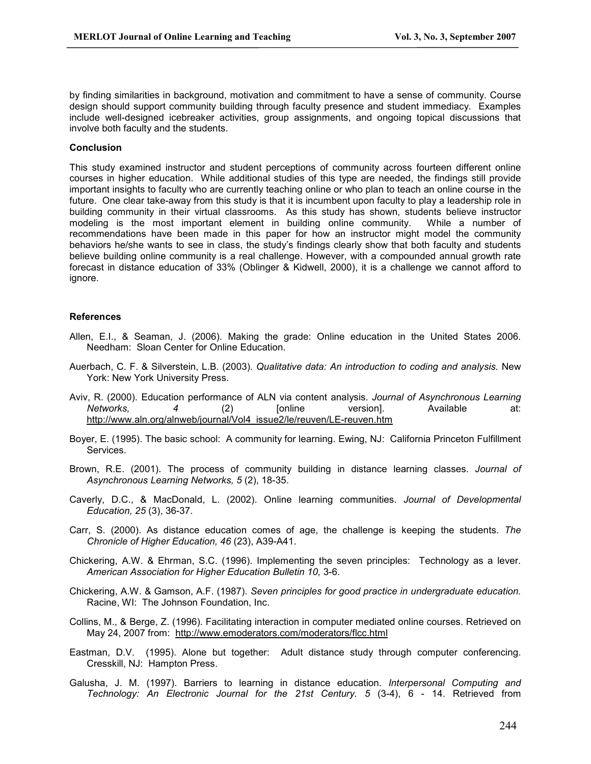by finding similarities in background, motivation and commitment to have a sense of community. Course design should support community building through faculty presence and student immediacy. Examples include well-designed icebreaker activities, group assignments, and ongoing topical discussions that involve both faculty and the students.

## Conclusion

This study examined instructor and student perceptions of community across fourteen different online courses in higher education. While additional studies of this type are needed, the findings still provide important insights to faculty who are currently teaching online or who plan to teach an online course in the future. One clear take-away from this study is that it is incumbent upon faculty to play a leadership role in building community in their virtual classrooms. As this study has shown, students believe instructor modeling is the most important element in building online community. While a number of recommendations have been made in this paper for how an instructor might model the community behaviors he/she wants to see in class, the study's findings clearly show that both faculty and students believe building online community is a real challenge. However, with a compounded annual growth rate forecast in distance education of 33% (Oblinger & Kidwell, 2000), it is a challenge we cannot afford to ignore.

#### **References**

- Allen, E.I., & Seaman, J. (2006). Making the grade: Online education in the United States 2006. Needham: Sloan Center for Online Education.
- Auerbach, C. F. & Silverstein, L.B. (2003). Qualitative data: An introduction to coding and analysis. New York: New York University Press.
- Aviv, R. (2000). Education performance of ALN via content analysis. Journal of Asynchronous Learning Networks, (2) [online version]. Available at: http://www.aln.org/alnweb/journal/Vol4\_issue2/le/reuven/LE-reuven.htm
- Boyer, E. (1995). The basic school: A community for learning. Ewing, NJ: California Princeton Fulfillment Services.
- Brown, R.E. (2001). The process of community building in distance learning classes. Journal of Asynchronous Learning Networks, 5 (2), 18-35.
- Caverly, D.C., & MacDonald, L. (2002). Online learning communities. Journal of Developmental Education, 25 (3), 36-37.
- Carr, S. (2000). As distance education comes of age, the challenge is keeping the students. The Chronicle of Higher Education, 46 (23), A39-A41.
- Chickering, A.W. & Ehrman, S.C. (1996). Implementing the seven principles: Technology as a lever. American Association for Higher Education Bulletin 10, 3-6.
- Chickering, A.W. & Gamson, A.F. (1987). Seven principles for good practice in undergraduate education. Racine, WI: The Johnson Foundation, Inc.
- Collins, M., & Berge, Z. (1996). Facilitating interaction in computer mediated online courses. Retrieved on May 24, 2007 from: http://www.emoderators.com/moderators/flcc.html
- Eastman, D.V. (1995). Alone but together: Adult distance study through computer conferencing. Cresskill, NJ: Hampton Press.
- Galusha, J. M. (1997). Barriers to learning in distance education. Interpersonal Computing and Technology: An Electronic Journal for the 21st Century. 5 (3-4), 6 - 14. Retrieved from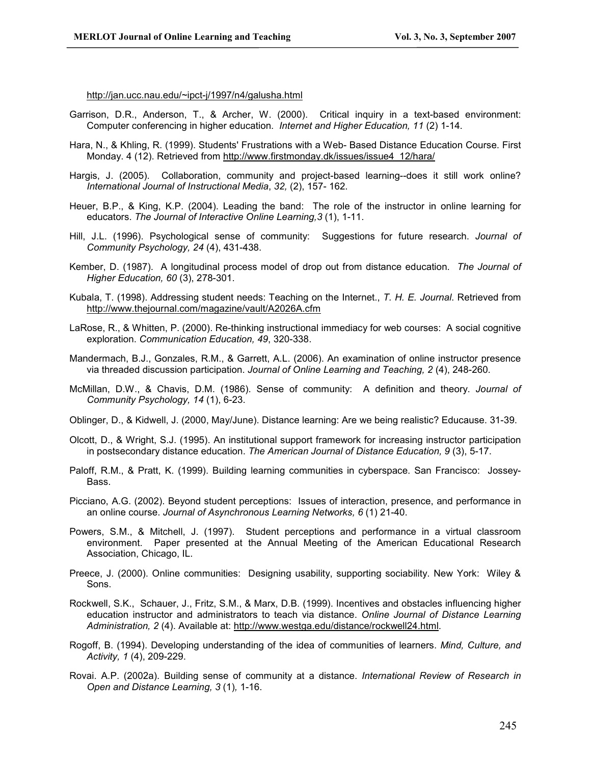http://jan.ucc.nau.edu/~ipct-j/1997/n4/galusha.html

- Garrison, D.R., Anderson, T., & Archer, W. (2000). Critical inquiry in a text-based environment: Computer conferencing in higher education. Internet and Higher Education, 11 (2) 1-14.
- Hara, N., & Khling, R. (1999). Students' Frustrations with a Web- Based Distance Education Course. First Monday. 4 (12). Retrieved from http://www.firstmonday.dk/issues/issue4\_12/hara/
- Hargis, J. (2005). Collaboration, community and project-based learning--does it still work online? International Journal of Instructional Media, 32, (2), 157- 162.
- Heuer, B.P., & King, K.P. (2004). Leading the band: The role of the instructor in online learning for educators. The Journal of Interactive Online Learning,3 (1), 1-11.
- Hill, J.L. (1996). Psychological sense of community: Suggestions for future research. Journal of Community Psychology, 24 (4), 431-438.
- Kember, D. (1987). A longitudinal process model of drop out from distance education. The Journal of Higher Education, 60 (3), 278-301.
- Kubala, T. (1998). Addressing student needs: Teaching on the Internet., T. H. E. Journal. Retrieved from http://www.thejournal.com/magazine/vault/A2026A.cfm
- LaRose, R., & Whitten, P. (2000). Re-thinking instructional immediacy for web courses: A social cognitive exploration. Communication Education, 49, 320-338.
- Mandermach, B.J., Gonzales, R.M., & Garrett, A.L. (2006). An examination of online instructor presence via threaded discussion participation. Journal of Online Learning and Teaching, 2 (4), 248-260.
- McMillan, D.W., & Chavis, D.M. (1986). Sense of community: A definition and theory. Journal of Community Psychology, 14 (1), 6-23.
- Oblinger, D., & Kidwell, J. (2000, May/June). Distance learning: Are we being realistic? Educause. 31-39.
- Olcott, D., & Wright, S.J. (1995). An institutional support framework for increasing instructor participation in postsecondary distance education. The American Journal of Distance Education, 9 (3), 5-17.
- Paloff, R.M., & Pratt, K. (1999). Building learning communities in cyberspace. San Francisco: Jossey-Bass.
- Picciano, A.G. (2002). Beyond student perceptions: Issues of interaction, presence, and performance in an online course. Journal of Asynchronous Learning Networks, 6 (1) 21-40.
- Powers, S.M., & Mitchell, J. (1997). Student perceptions and performance in a virtual classroom environment. Paper presented at the Annual Meeting of the American Educational Research Association, Chicago, IL.
- Preece, J. (2000). Online communities: Designing usability, supporting sociability. New York: Wiley & Sons.
- Rockwell, S.K., Schauer, J., Fritz, S.M., & Marx, D.B. (1999). Incentives and obstacles influencing higher education instructor and administrators to teach via distance. Online Journal of Distance Learning Administration, 2 (4). Available at: http://www.westga.edu/distance/rockwell24.html.
- Rogoff, B. (1994). Developing understanding of the idea of communities of learners. Mind, Culture, and Activity, 1 (4), 209-229.
- Rovai. A.P. (2002a). Building sense of community at a distance. International Review of Research in Open and Distance Learning, 3 (1), 1-16.